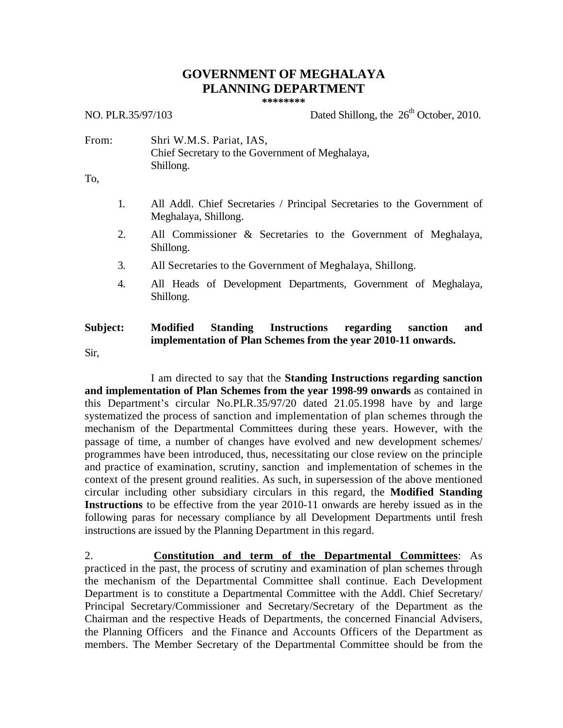# **GOVERNMENT OF MEGHALAYA PLANNING DEPARTMENT**

**\*\*\*\*\*\*\*\***

NO. PLR.35/97/103 Dated Shillong, the  $26<sup>th</sup>$  October, 2010.

From: Shri W.M.S. Pariat, IAS, Chief Secretary to the Government of Meghalaya, Shillong.

To,

- 1. All Addl. Chief Secretaries / Principal Secretaries to the Government of Meghalaya, Shillong.
- 2. All Commissioner & Secretaries to the Government of Meghalaya, Shillong.
- 3. All Secretaries to the Government of Meghalaya, Shillong.
- 4. All Heads of Development Departments, Government of Meghalaya, Shillong.

# **Subject: Modified Standing Instructions regarding sanction and implementation of Plan Schemes from the year 2010-11 onwards.**

Sir,

I am directed to say that the **Standing Instructions regarding sanction and implementation of Plan Schemes from the year 1998-99 onwards** as contained in this Department's circular No.PLR.35/97/20 dated 21.05.1998 have by and large systematized the process of sanction and implementation of plan schemes through the mechanism of the Departmental Committees during these years. However, with the passage of time, a number of changes have evolved and new development schemes/ programmes have been introduced, thus, necessitating our close review on the principle and practice of examination, scrutiny, sanction and implementation of schemes in the context of the present ground realities. As such, in supersession of the above mentioned circular including other subsidiary circulars in this regard, the **Modified Standing Instructions** to be effective from the year 2010-11 onwards are hereby issued as in the following paras for necessary compliance by all Development Departments until fresh instructions are issued by the Planning Department in this regard.

2. **Constitution and term of the Departmental Committees**: As practiced in the past, the process of scrutiny and examination of plan schemes through the mechanism of the Departmental Committee shall continue. Each Development Department is to constitute a Departmental Committee with the Addl. Chief Secretary/ Principal Secretary/Commissioner and Secretary/Secretary of the Department as the Chairman and the respective Heads of Departments, the concerned Financial Advisers, the Planning Officers and the Finance and Accounts Officers of the Department as members. The Member Secretary of the Departmental Committee should be from the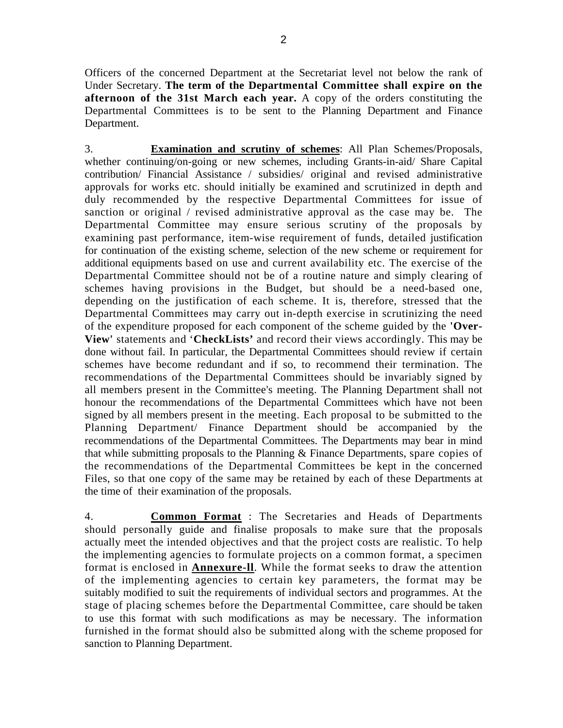Officers of the concerned Department at the Secretariat level not below the rank of Under Secretary. **The term of the Departmental Committee shall expire on the afternoon of the 31st March each year.** A copy of the orders constituting the Departmental Committees is to be sent to the Planning Department and Finance Department.

3. **Examination and scrutiny of schemes**: All Plan Schemes/Proposals, whether continuing/on-going or new schemes, including Grants-in-aid/ Share Capital contribution/ Financial Assistance / subsidies/ original and revised administrative approvals for works etc. should initially be examined and scrutinized in depth and duly recommended by the respective Departmental Committees for issue of sanction or original / revised administrative approval as the case may be. The Departmental Committee may ensure serious scrutiny of the proposals by examining past performance, item-wise requirement of funds, detailed justification for continuation of the existing scheme, selection of the new scheme or requirement for additional equipments based on use and current availability etc. The exercise of the Departmental Committee should not be of a routine nature and simply clearing of schemes having provisions in the Budget, but should be a need-based one, depending on the justification of each scheme. It is, therefore, stressed that the Departmental Committees may carry out in-depth exercise in scrutinizing the need of the expenditure proposed for each component of the scheme guided by the **'Over-View'** statements and '**CheckLists'** and record their views accordingly. This may be done without fail. In particular, the Departmental Committees should review if certain schemes have become redundant and if so, to recommend their termination. The recommendations of the Departmental Committees should be invariably signed by all members present in the Committee's meeting. The Planning Department shall not honour the recommendations of the Departmental Committees which have not been signed by all members present in the meeting. Each proposal to be submitted to the Planning Department/ Finance Department should be accompanied by the recommendations of the Departmental Committees. The Departments may bear in mind that while submitting proposals to the Planning & Finance Departments, spare copies of the recommendations of the Departmental Committees be kept in the concerned Files, so that one copy of the same may be retained by each of these Departments at the time of their examination of the proposals.

4. **Common Format** : The Secretaries and Heads of Departments should personally guide and finalise proposals to make sure that the proposals actually meet the intended objectives and that the project costs are realistic. To help the implementing agencies to formulate projects on a common format, a specimen format is enclosed in **Annexure-ll**. While the format seeks to draw the attention of the implementing agencies to certain key parameters, the format may be suitably modified to suit the requirements of individual sectors and programmes. At the stage of placing schemes before the Departmental Committee, care should be taken to use this format with such modifications as may be necessary. The information furnished in the format should also be submitted along with the scheme proposed for sanction to Planning Department.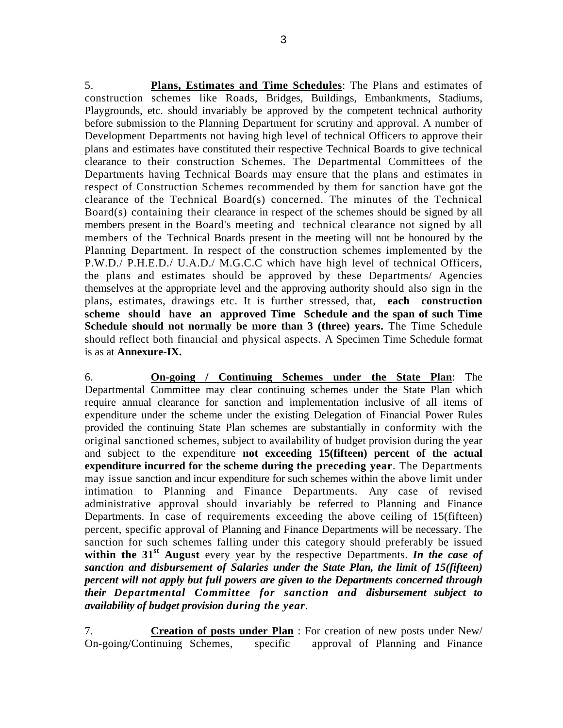5. **Plans, Estimates and Time Schedules**: The Plans and estimates of construction schemes like Roads, Bridges, Buildings, Embankments, Stadiums, Playgrounds, etc. should invariably be approved by the competent technical authority before submission to the Planning Department for scrutiny and approval. A number of Development Departments not having high level of technical Officers to approve their plans and estimates have constituted their respective Technical Boards to give technical clearance to their construction Schemes. The Departmental Committees of the Departments having Technical Boards may ensure that the plans and estimates in respect of Construction Schemes recommended by them for sanction have got the clearance of the Technical Board(s) concerned. The minutes of the Technical Board(s) containing their clearance in respect of the schemes should be signed by all members present in the Board's meeting and technical clearance not signed by all members of the Technical Boards present in the meeting will not be honoured by the Planning Department. In respect of the construction schemes implemented by the P.W.D./ P.H.E.D./ U.A.D./ M.G.C.C which have high level of technical Officers, the plans and estimates should be approved by these Departments/ Agencies themselves at the appropriate level and the approving authority should also sign in the plans, estimates, drawings etc. It is further stressed, that, **each construction scheme should have an approved Time Schedule and the span of such Time Schedule should not normally be more than 3 (three) years.** The Time Schedule should reflect both financial and physical aspects. A Specimen Time Schedule format is as at **Annexure-IX.**

6. **On-going / Continuing Schemes under the State Plan** : The Departmental Committee may clear continuing schemes under the State Plan which require annual clearance for sanction and implementation inclusive of all items of expenditure under the scheme under the existing Delegation of Financial Power Rules provided the continuing State Plan schemes are substantially in conformity with the original sanctioned schemes, subject to availability of budget provision during the year and subject to the expenditure **not exceeding 15(fifteen) percent of the actual expenditure incurred for the scheme during the preceding year**. The Departments may issue sanction and incur expenditure for such schemes within the above limit under intimation to Planning and Finance Departments. Any case of revised administrative approval should invariably be referred to Planning and Finance Departments. In case of requirements exceeding the above ceiling of 15(fifteen) percent, specific approval of Planning and Finance Departments will be necessary. The sanction for such schemes falling under this category should preferably be issued **within the 31st August** every year by the respective Departments. *In the case of sanction and disbursement of Salaries under the State Plan, the limit of 15(fifteen) percent will not apply but full powers are given to the Departments concerned through their Departmental Committee for sanction and disbursement subject to availability of budget provision during the year.*

7. **Creation of posts under Plan** : For creation of new posts under New/ On-going/Continuing Schemes, specific approval of Planning and Finance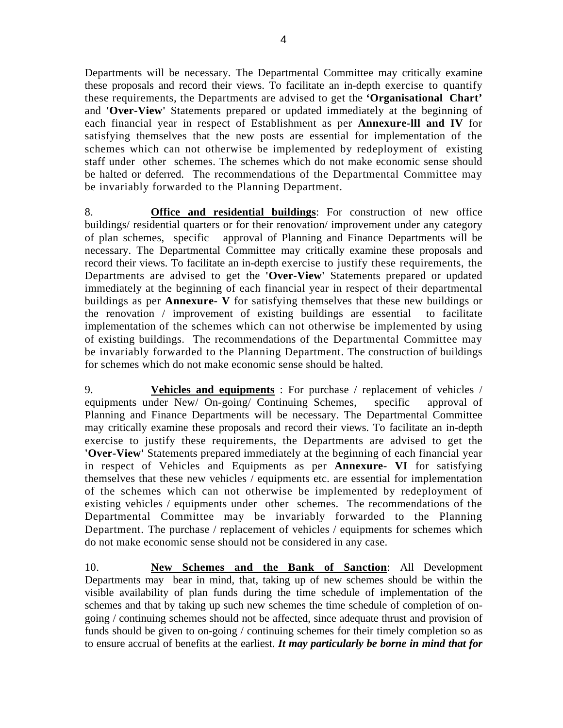Departments will be necessary. The Departmental Committee may critically examine these proposals and record their views. To facilitate an in-depth exercise to quantify these requirements, the Departments are advised to get the **'Organisational Chart'** and **'Over-View'** Statements prepared or updated immediately at the beginning of each financial year in respect of Establishment as per **Annexure-lll and IV** for satisfying themselves that the new posts are essential for implementation of the schemes which can not otherwise be implemented by redeployment of existing staff under other schemes. The schemes which do not make economic sense should be halted or deferred. The recommendations of the Departmental Committee may be invariably forwarded to the Planning Department.

8. **Office and residential buildings**: For construction of new office buildings/ residential quarters or for their renovation/ improvement under any category of plan schemes, specific approval of Planning and Finance Departments will be necessary. The Departmental Committee may critically examine these proposals and record their views. To facilitate an in-depth exercise to justify these requirements, the Departments are advised to get the **'Over-View'** Statements prepared or updated immediately at the beginning of each financial year in respect of their departmental buildings as per **Annexure- V** for satisfying themselves that these new buildings or the renovation / improvement of existing buildings are essential to facilitate implementation of the schemes which can not otherwise be implemented by using of existing buildings. The recommendations of the Departmental Committee may be invariably forwarded to the Planning Department. The construction of buildings for schemes which do not make economic sense should be halted.

9. **Vehicles and equipments** : For purchase / replacement of vehicles / equipments under New/ On-going/ Continuing Schemes, specific approval of Planning and Finance Departments will be necessary. The Departmental Committee may critically examine these proposals and record their views. To facilitate an in-depth exercise to justify these requirements, the Departments are advised to get the **'Over-View'** Statements prepared immediately at the beginning of each financial year in respect of Vehicles and Equipments as per **Annexure- VI** for satisfying themselves that these new vehicles / equipments etc. are essential for implementation of the schemes which can not otherwise be implemented by redeployment of existing vehicles / equipments under other schemes. The recommendations of the Departmental Committee may be invariably forwarded to the Planning Department. The purchase / replacement of vehicles / equipments for schemes which do not make economic sense should not be considered in any case.

10. **New Schemes and the Bank of Sanction**: All Development Departments may bear in mind, that, taking up of new schemes should be within the visible availability of plan funds during the time schedule of implementation of the schemes and that by taking up such new schemes the time schedule of completion of ongoing / continuing schemes should not be affected, since adequate thrust and provision of funds should be given to on-going / continuing schemes for their timely completion so as to ensure accrual of benefits at the earliest. *It may particularly be borne in mind that for*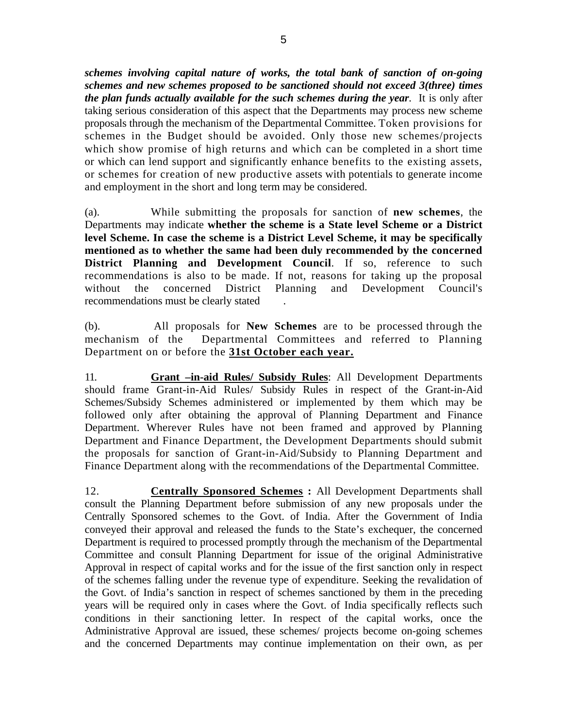*schemes involving capital nature of works, the total bank of sanction of on-going schemes and new schemes proposed to be sanctioned should not exceed 3(three) times the plan funds actually available for the such schemes during the year.* It is only after taking serious consideration of this aspect that the Departments may process new scheme proposals through the mechanism of the Departmental Committee. Token provisions for schemes in the Budget should be avoided. Only those new schemes/projects which show promise of high returns and which can be completed in a short time or which can lend support and significantly enhance benefits to the existing assets, or schemes for creation of new productive assets with potentials to generate income and employment in the short and long term may be considered.

(a). While submitting the proposals for sanction of **new schemes**, the Departments may indicate **whether the scheme is a State level Scheme or a District level Scheme. In case the scheme is a District Level Scheme, it may be specifically mentioned as to whether the same had been duly recommended by the concerned District Planning and Development Council.** If so, reference to such recommendations is also to be made. If not, reasons for taking up the proposal without the concerned District Planning and Development Council's recommendations must be clearly stated .

(b). All proposals for **New Schemes** are to be processed through the mechanism of the Departmental Committees and referred to Planning Department on or before the **31st October each year.**

11. **Grant –in-aid Rules/ Subsidy Rules** : All Development Departments should frame Grant-in-Aid Rules/ Subsidy Rules in respect of the Grant-in-Aid Schemes/Subsidy Schemes administered or implemented by them which may be followed only after obtaining the approval of Planning Department and Finance Department. Wherever Rules have not been framed and approved by Planning Department and Finance Department, the Development Departments should submit the proposals for sanction of Grant-in-Aid/Subsidy to Planning Department and Finance Department along with the recommendations of the Departmental Committee.

12. **Centrally Sponsored Schemes :** All Development Departments shall consult the Planning Department before submission of any new proposals under the Centrally Sponsored schemes to the Govt. of India. After the Government of India conveyed their approval and released the funds to the State's exchequer, the concerned Department is required to processed promptly through the mechanism of the Departmental Committee and consult Planning Department for issue of the original Administrative Approval in respect of capital works and for the issue of the first sanction only in respect of the schemes falling under the revenue type of expenditure. Seeking the revalidation of the Govt. of India's sanction in respect of schemes sanctioned by them in the preceding years will be required only in cases where the Govt. of India specifically reflects such conditions in their sanctioning letter. In respect of the capital works, once the Administrative Approval are issued, these schemes/ projects become on-going schemes and the concerned Departments may continue implementation on their own, as per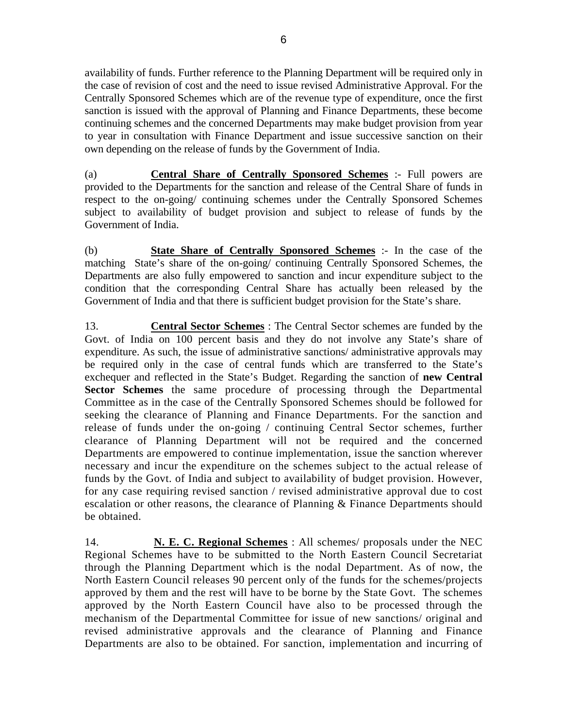availability of funds. Further reference to the Planning Department will be required only in the case of revision of cost and the need to issue revised Administrative Approval. For the Centrally Sponsored Schemes which are of the revenue type of expenditure, once the first sanction is issued with the approval of Planning and Finance Departments, these become continuing schemes and the concerned Departments may make budget provision from year to year in consultation with Finance Department and issue successive sanction on their own depending on the release of funds by the Government of India.

(a) **Central Share of Centrally Sponsored Schemes** :- Full powers are provided to the Departments for the sanction and release of the Central Share of funds in respect to the on-going/ continuing schemes under the Centrally Sponsored Schemes subject to availability of budget provision and subject to release of funds by the Government of India.

(b) **State Share of Centrally Sponsored Schemes** :- In the case of the matching State's share of the on-going/ continuing Centrally Sponsored Schemes, the Departments are also fully empowered to sanction and incur expenditure subject to the condition that the corresponding Central Share has actually been released by the Government of India and that there is sufficient budget provision for the State's share.

13. **Central Sector Schemes** : The Central Sector schemes are funded by the Govt. of India on 100 percent basis and they do not involve any State's share of expenditure. As such, the issue of administrative sanctions/ administrative approvals may be required only in the case of central funds which are transferred to the State's exchequer and reflected in the State's Budget. Regarding the sanction of **new Central Sector Schemes** the same procedure of processing through the Departmental Committee as in the case of the Centrally Sponsored Schemes should be followed for seeking the clearance of Planning and Finance Departments. For the sanction and release of funds under the on-going / continuing Central Sector schemes, further clearance of Planning Department will not be required and the concerned Departments are empowered to continue implementation, issue the sanction wherever necessary and incur the expenditure on the schemes subject to the actual release of funds by the Govt. of India and subject to availability of budget provision. However, for any case requiring revised sanction / revised administrative approval due to cost escalation or other reasons, the clearance of Planning & Finance Departments should be obtained.

14. **N. E. C. Regional Schemes** : All schemes/ proposals under the NEC Regional Schemes have to be submitted to the North Eastern Council Secretariat through the Planning Department which is the nodal Department. As of now, the North Eastern Council releases 90 percent only of the funds for the schemes/projects approved by them and the rest will have to be borne by the State Govt. The schemes approved by the North Eastern Council have also to be processed through the mechanism of the Departmental Committee for issue of new sanctions/ original and revised administrative approvals and the clearance of Planning and Finance Departments are also to be obtained. For sanction, implementation and incurring of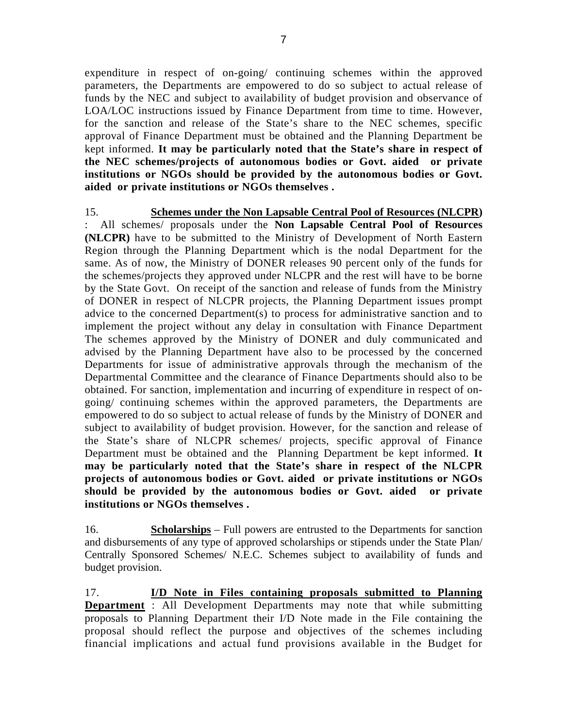expenditure in respect of on-going/ continuing schemes within the approved parameters, the Departments are empowered to do so subject to actual release of funds by the NEC and subject to availability of budget provision and observance of LOA/LOC instructions issued by Finance Department from time to time. However, for the sanction and release of the State's share to the NEC schemes, specific approval of Finance Department must be obtained and the Planning Department be kept informed. **It may be particularly noted that the State's share in respect of the NEC schemes/projects of autonomous bodies or Govt. aided or private institutions or NGOs should be provided by the autonomous bodies or Govt.** 

**aided or private institutions or NGOs themselves .**

15. **Schemes under the Non Lapsable Central Pool of Resources (NLCPR)** : All schemes/ proposals under the **Non Lapsable Central Pool of Resources (NLCPR)** have to be submitted to the Ministry of Development of North Eastern Region through the Planning Department which is the nodal Department for the same. As of now, the Ministry of DONER releases 90 percent only of the funds for the schemes/projects they approved under NLCPR and the rest will have to be borne by the State Govt. On receipt of the sanction and release of funds from the Ministry of DONER in respect of NLCPR projects, the Planning Department issues prompt advice to the concerned Department(s) to process for administrative sanction and to implement the project without any delay in consultation with Finance Department The schemes approved by the Ministry of DONER and duly communicated and advised by the Planning Department have also to be processed by the concerned Departments for issue of administrative approvals through the mechanism of the Departmental Committee and the clearance of Finance Departments should also to be obtained. For sanction, implementation and incurring of expenditure in respect of ongoing/ continuing schemes within the approved parameters, the Departments are empowered to do so subject to actual release of funds by the Ministry of DONER and subject to availability of budget provision. However, for the sanction and release of the State's share of NLCPR schemes/ projects, specific approval of Finance Department must be obtained and the Planning Department be kept informed. **It may be particularly noted that the State's share in respect of the NLCPR projects of autonomous bodies or Govt. aided or private institutions or NGOs should be provided by the autonomous bodies or Govt. aided or private institutions or NGOs themselves .**

16. **Scholarships** – Full powers are entrusted to the Departments for sanction and disbursements of any type of approved scholarships or stipends under the State Plan/ Centrally Sponsored Schemes/ N.E.C. Schemes subject to availability of funds and budget provision.

17. **I/D Note in Files containing proposals submitted to Planning Department** : All Development Departments may note that while submitting proposals to Planning Department their I/D Note made in the File containing the proposal should reflect the purpose and objectives of the schemes including financial implications and actual fund provisions available in the Budget for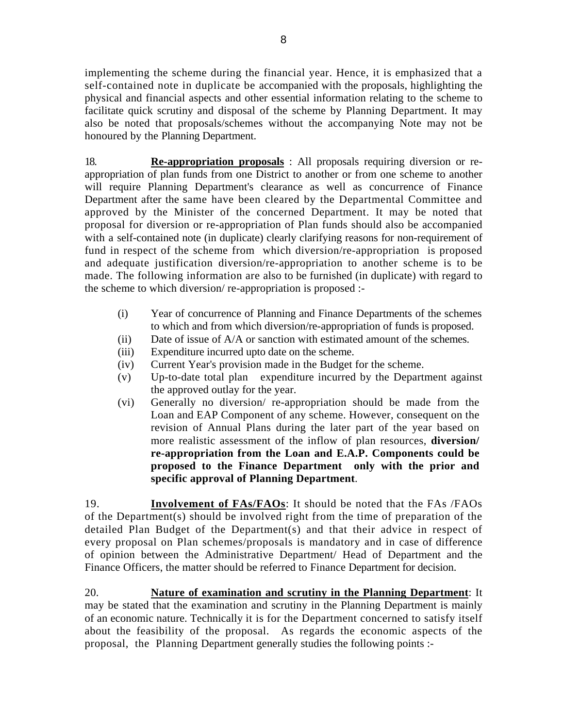implementing the scheme during the financial year. Hence, it is emphasized that a self-contained note in duplicate be accompanied with the proposals, highlighting the physical and financial aspects and other essential information relating to the scheme to facilitate quick scrutiny and disposal of the scheme by Planning Department. It may also be noted that proposals/schemes without the accompanying Note may not be honoured by the Planning Department.

18. **Re-appropriation proposals** : All proposals requiring diversion or reappropriation of plan funds from one District to another or from one scheme to another will require Planning Department's clearance as well as concurrence of Finance Department after the same have been cleared by the Departmental Committee and approved by the Minister of the concerned Department. It may be noted that proposal for diversion or re-appropriation of Plan funds should also be accompanied with a self-contained note (in duplicate) clearly clarifying reasons for non-requirement of fund in respect of the scheme from which diversion/re-appropriation is proposed and adequate justification diversion/re-appropriation to another scheme is to be made. The following information are also to be furnished (in duplicate) with regard to the scheme to which diversion/ re-appropriation is proposed :-

- (i) Year of concurrence of Planning and Finance Departments of the schemes to which and from which diversion/re-appropriation of funds is proposed.
- (ii) Date of issue of A/A or sanction with estimated amount of the schemes.
- (iii) Expenditure incurred upto date on the scheme.
- (iv) Current Year's provision made in the Budget for the scheme.
- (v) Up-to-date total plan expenditure incurred by the Department against the approved outlay for the year.
- (vi) Generally no diversion/ re-appropriation should be made from the Loan and EAP Component of any scheme. However, consequent on the revision of Annual Plans during the later part of the year based on more realistic assessment of the inflow of plan resources, **diversion/ re-appropriation from the Loan and E.A.P. Components could be proposed to the Finance Department only with the prior and specific approval of Planning Department**.

19. **Involvement of FAs/FAOs**: It should be noted that the FAs /FAOs of the Department(s) should be involved right from the time of preparation of the detailed Plan Budget of the Department(s) and that their advice in respect of every proposal on Plan schemes/proposals is mandatory and in case of difference of opinion between the Administrative Department/ Head of Department and the Finance Officers, the matter should be referred to Finance Department for decision.

20. **Nature of examination and scrutiny in the Planning Department**: It may be stated that the examination and scrutiny in the Planning Department is mainly of an economic nature. Technically it is for the Department concerned to satisfy itself about the feasibility of the proposal. As regards the economic aspects of the proposal, the Planning Department generally studies the following points :-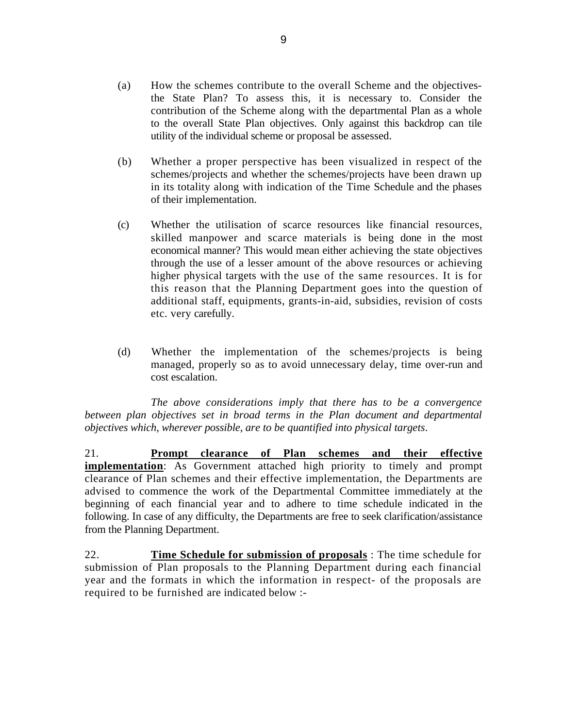- (a) How the schemes contribute to the overall Scheme and the objectivesthe State Plan? To assess this, it is necessary to. Consider the contribution of the Scheme along with the departmental Plan as a whole to the overall State Plan objectives. Only against this backdrop can tile utility of the individual scheme or proposal be assessed.
- (b) Whether a proper perspective has been visualized in respect of the schemes/projects and whether the schemes/projects have been drawn up in its totality along with indication of the Time Schedule and the phases of their implementation.
- (c) Whether the utilisation of scarce resources like financial resources, skilled manpower and scarce materials is being done in the most economical manner? This would mean either achieving the state objectives through the use of a lesser amount of the above resources or achieving higher physical targets with the use of the same resources. It is for this reason that the Planning Department goes into the question of additional staff, equipments, grants-in-aid, subsidies, revision of costs etc. very carefully.
- (d) Whether the implementation of the schemes/projects is being managed, properly so as to avoid unnecessary delay, time over-run and cost escalation.

*The above considerations imply that there has to be a convergence between plan objectives set in broad terms in the Plan document and departmental objectives which, wherever possible, are to be quantified into physical targets*.

21. **Prompt clearance of Plan schemes and their effective implementation**: As Government attached high priority to timely and prompt clearance of Plan schemes and their effective implementation, the Departments are advised to commence the work of the Departmental Committee immediately at the beginning of each financial year and to adhere to time schedule indicated in the following. In case of any difficulty, the Departments are free to seek clarification/assistance from the Planning Department.

22. **Time Schedule for submission of proposals** : The time schedule for submission of Plan proposals to the Planning Department during each financial year and the formats in which the information in respect- of the proposals are required to be furnished are indicated below :-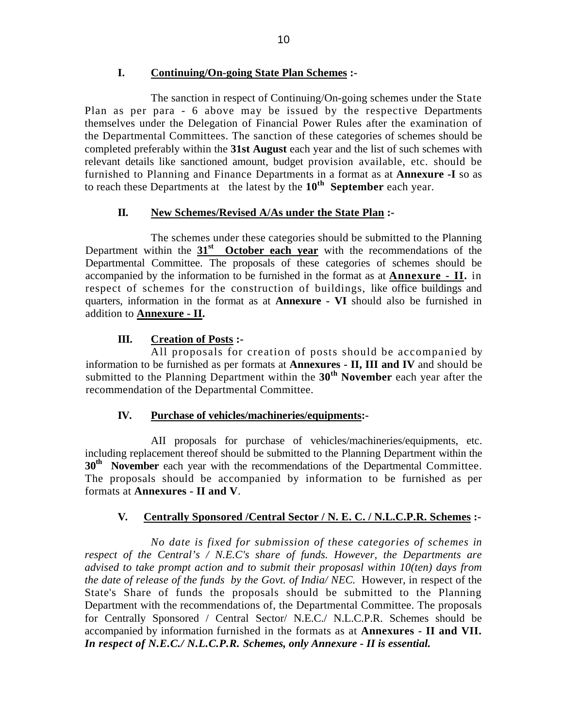## **I. Continuing/On-going State Plan Schemes :-**

The sanction in respect of Continuing/On-going schemes under the State Plan as per para - 6 above may be issued by the respective Departments themselves under the Delegation of Financial Power Rules after the examination of the Departmental Committees. The sanction of these categories of schemes should be completed preferably within the **31st August** each year and the list of such schemes with relevant details like sanctioned amount, budget provision available, etc. should be furnished to Planning and Finance Departments in a format as at **Annexure -I** so as to reach these Departments at the latest by the **10th September** each year.

#### **II. New Schemes/Revised A/As under the State Plan :-**

The schemes under these categories should be submitted to the Planning Department within the **31st October each year** with the recommendations of the Departmental Committee. The proposals of these categories of schemes should be accompanied by the information to be furnished in the format as at **Annexure - II.** in respect of schemes for the construction of buildings, like office buildings and quarters, information in the format as at **Annexure - VI** should also be furnished in addition to **Annexure - II.**

# **III. Creation of Posts :-**

All proposals for creation of posts should be accompanied by information to be furnished as per formats at **Annexures - II, III and IV** and should be submitted to the Planning Department within the **30th November** each year after the recommendation of the Departmental Committee.

### **IV. Purchase of vehicles/machineries/equipments:-**

AII proposals for purchase of vehicles/machineries/equipments, etc. including replacement thereof should be submitted to the Planning Department within the **30<sup>th</sup> November** each year with the recommendations of the Departmental Committee. The proposals should be accompanied by information to be furnished as per formats at **Annexures - II and V**.

# **V. Centrally Sponsored /Central Sector / N. E. C. / N.L.C.P.R. Schemes :-**

*No date is fixed for submission of these categories of schemes in respect of the Central's / N.E.C's share of funds. However, the Departments are advised to take prompt action and to submit their proposasl within 10(ten) days from the date of release of the funds by the Govt. of India/ NEC.* However, in respect of the State's Share of funds the proposals should be submitted to the Planning Department with the recommendations of, the Departmental Committee. The proposals for Centrally Sponsored / Central Sector/ N.E.C./ N.L.C.P.R. Schemes should be accompanied by information furnished in the formats as at **Annexures - II and VII.** *In respect of N.E.C./ N.L.C.P.R. Schemes, only Annexure - II is essential.*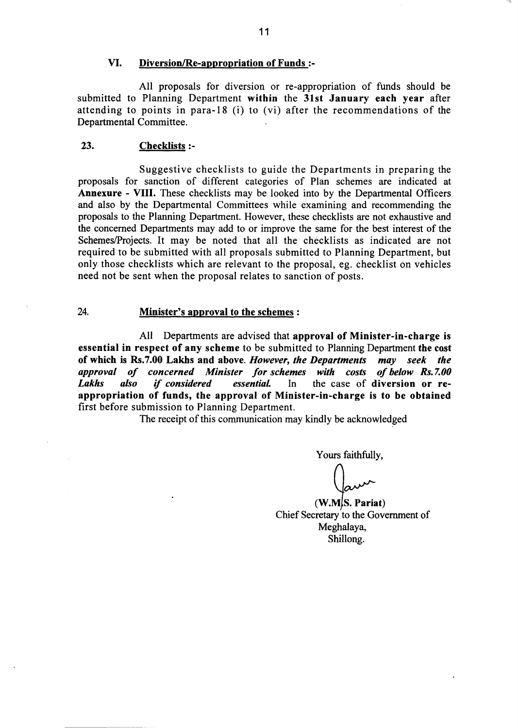#### VI. Diversion/Re-appropriation of Funds:-

All proposals for diversion or re-appropriation of funds should be submitted to Planning Department within the 31st January each year after attending to points in para-18 (i) to (vi) after the recommendations of the Departmental Committee.

#### 23. **Checklists:-**

Suggestive checklists to guide the Departments in preparing the proposals for sanction of different categories of Plan schemes are indicated at **Annexure - VIII.** These checklists may be looked into by the Departmental Officers and also by the Departmental Committees while examining and recommending the proposals to the Planning Department. However, these checklists are not exhaustive and the concerned Departments may add to or improve the same for the best interest of the Schemes/Projects. It may be noted that all the checklists as indicated are not required to be submitted with all proposals submitted to Planning Department, but only those checklists which are relevant to the proposal, eg. checklist on vehicles need not be sent when the proposal relates to sanction of posts.

#### 24. Minister's approval to the schemes :

All Departments are advised that approval of Minister-in-charge is essential in respect of any scheme to be submitted to Planning Department the cost of which is Rs.7.00 Lakhs and above. However, the Departments may seek the approval of concerned Minister for schemes with costs of below Rs.7.00 **Lakhs** also if considered essential. In the case of diversion or reappropriation of funds, the approval of Minister-in-charge is to be obtained first before submission to Planning Department.

The receipt of this communication may kindly be acknowledged

Yours faithfully,

 $(W.M.S. \; \text{Partial})$ Chief Secretary to the Government of Meghalaya, Shillong.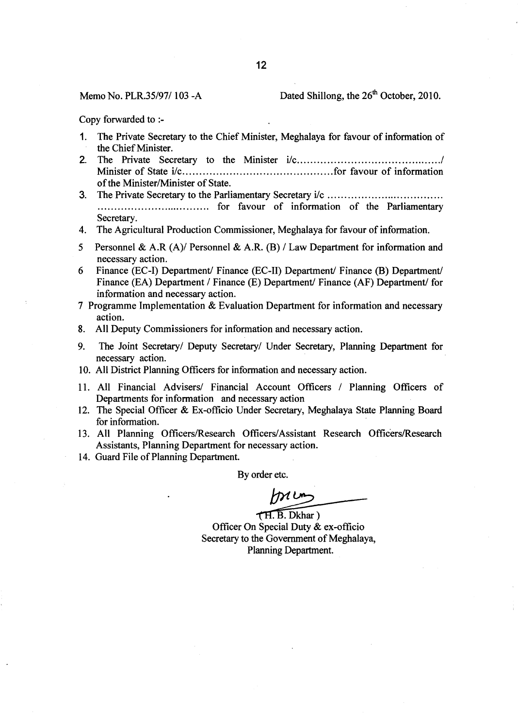#### Memo No. PLR.35/97/103-A

### Dated Shillong, the 26<sup>th</sup> October, 2010.

Copy forwarded to :-

- The Private Secretary to the Chief Minister, Meghalaya for favour of information of  $\mathbf{1}$ . the Chief Minister.
- $2.$ of the Minister/Minister of State.
- 3. Secretary.
- The Agricultural Production Commissioner, Meghalaya for favour of information.  $4.$
- $5<sup>1</sup>$ Personnel & A.R  $(A)$  Personnel & A.R.  $(B)$  / Law Department for information and necessary action.
- 6 Finance (EC-I) Department/ Finance (EC-II) Department/ Finance (B) Department/ Finance (EA) Department / Finance (E) Department / Finance (AF) Department for information and necessary action.
- 7 Programme Implementation & Evaluation Department for information and necessary action.
- All Deputy Commissioners for information and necessary action. 8.
- 9. The Joint Secretary/ Deputy Secretary/ Under Secretary, Planning Department for necessary action.
- 10. All District Planning Officers for information and necessary action.
- 11. All Financial Advisers/ Financial Account Officers / Planning Officers of Departments for information and necessary action
- 12. The Special Officer & Ex-officio Under Secretary, Meghalaya State Planning Board for information.
- 13. All Planning Officers/Research Officers/Assistant Research Officers/Research Assistants, Planning Department for necessary action.
- 14. Guard File of Planning Department.

By order etc.

 $m$ 

TH. B. Dkhar) Officer On Special Duty & ex-officio Secretary to the Government of Meghalaya, Planning Department.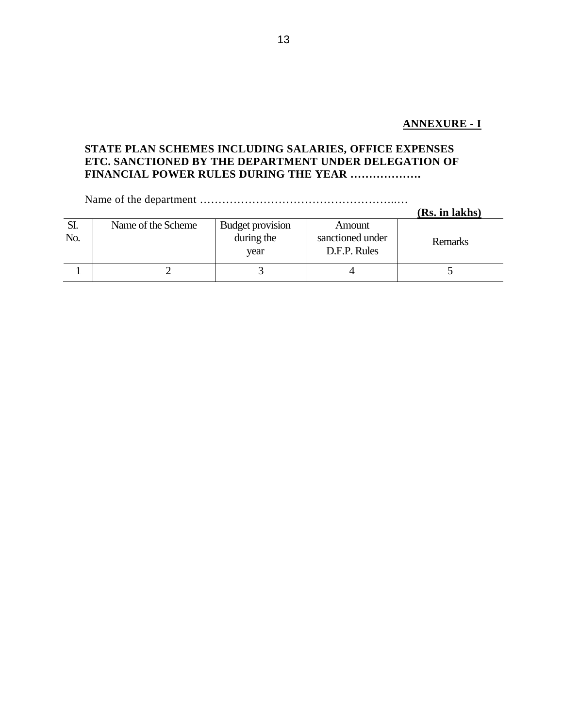# **ANNEXURE - I**

# **STATE PLAN SCHEMES INCLUDING SALARIES, OFFICE EXPENSES ETC. SANCTIONED BY THE DEPARTMENT UNDER DELEGATION OF FINANCIAL POWER RULES DURING THE YEAR ……………….**

Name of the department ……………………………………………..…

|            |                    |                                        |                                            | (Rs. in lakhs) |
|------------|--------------------|----------------------------------------|--------------------------------------------|----------------|
| SI.<br>No. | Name of the Scheme | Budget provision<br>during the<br>vear | Amount<br>sanctioned under<br>D.F.P. Rules | Remarks        |
|            |                    |                                        |                                            |                |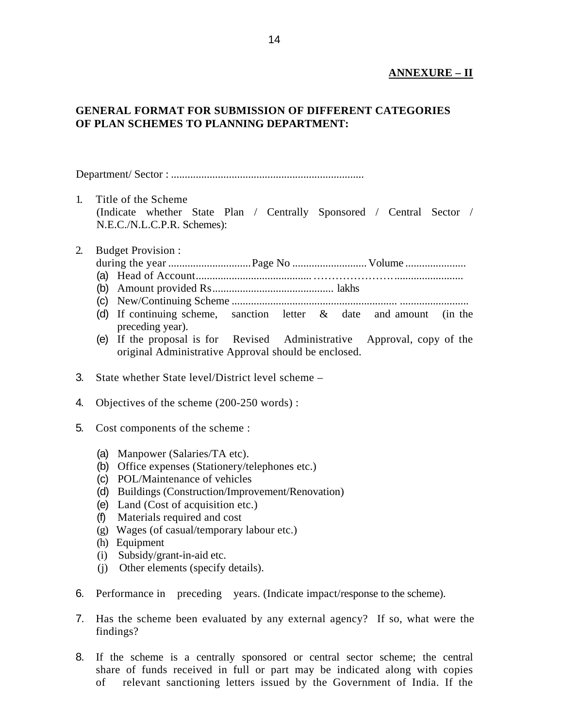## **ANNEXURE – II**

# **GENERAL FORMAT FOR SUBMISSION OF DIFFERENT CATEGORIES OF PLAN SCHEMES TO PLANNING DEPARTMENT:**

Department/ Sector : ......................................................................

1. Title of the Scheme (Indicate whether State Plan / Centrally Sponsored / Central Sector / N.E.C./N.L.C.P.R. Schemes):

### 2. Budget Provision :

- during the year ..............................Page No ........................... Volume ......................
- (a) Head of Account..........................................…………………..........................
- (b) Amount provided Rs............................................ lakhs
- (c) New/Continuing Scheme ............................................................ .........................
- (d) If continuing scheme, sanction letter & date and amount (in the preceding year).
- (e) If the proposal is for Revised Administrative Approval, copy of the original Administrative Approval should be enclosed.
- 3. State whether State level/District level scheme –
- 4. Objectives of the scheme (200-250 words) :
- 5. Cost components of the scheme :
	- (a) Manpower (Salaries/TA etc).
	- (b) Office expenses (Stationery/telephones etc.)
	- (c) POL/Maintenance of vehicles
	- (d) Buildings (Construction/Improvement/Renovation)
	- (e) Land (Cost of acquisition etc.)
	- (f) Materials required and cost
	- (g) Wages (of casual/temporary labour etc.)
	- (h) Equipment
	- (i) Subsidy/grant-in-aid etc.
	- (j) Other elements (specify details).
- 6. Performance in preceding years. (Indicate impact/response to the scheme).
- 7. Has the scheme been evaluated by any external agency? If so, what were the findings?
- 8. If the scheme is a centrally sponsored or central sector scheme; the central share of funds received in full or part may be indicated along with copies of relevant sanctioning letters issued by the Government of India. If the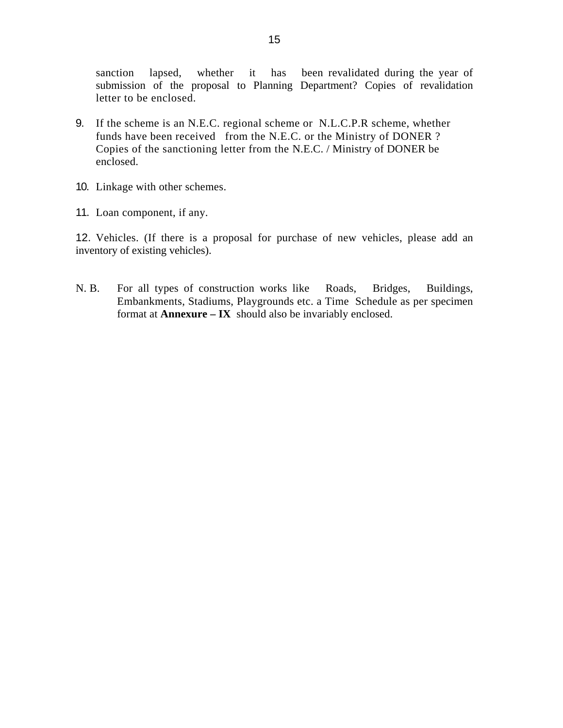sanction lapsed, whether it has been revalidated during the year of submission of the proposal to Planning Department? Copies of revalidation letter to be enclosed.

- 9. If the scheme is an N.E.C. regional scheme or N.L.C.P.R scheme, whether funds have been received from the N.E.C. or the Ministry of DONER ? Copies of the sanctioning letter from the N.E.C. / Ministry of DONER be enclosed.
- 10. Linkage with other schemes.
- 11. Loan component, if any.

12. Vehicles. (If there is a proposal for purchase of new vehicles, please add an inventory of existing vehicles).

N. B. For all types of construction works like Roads, Bridges, Buildings, Embankments, Stadiums, Playgrounds etc. a Time Schedule as per specimen format at **Annexure – IX** should also be invariably enclosed.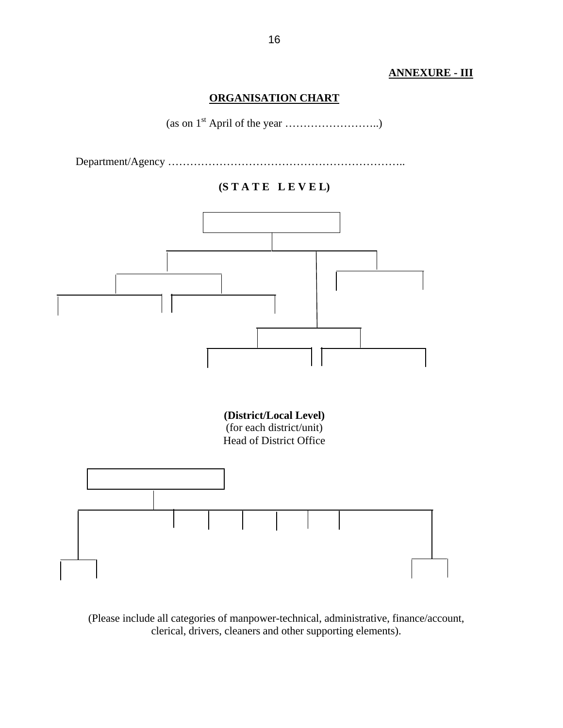# **ANNEXURE - III**

# **ORGANISATION CHART**



Department/Agency ………………………………………………………..

# **(S T A T E L E V E L)**



(Please include all categories of manpower-technical, administrative, finance/account, clerical, drivers, cleaners and other supporting elements).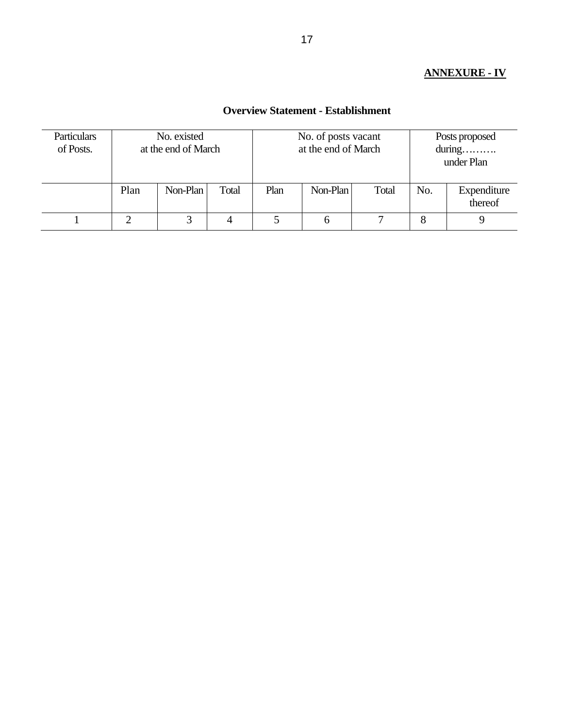# **ANNEXURE - IV**

## **Overview Statement - Establishment**

| <b>Particulars</b><br>of Posts. | No. existed<br>at the end of March |          |       |      | No. of posts vacant<br>at the end of March | Posts proposed<br>$during. \dots \dots$<br>under Plan |     |                        |
|---------------------------------|------------------------------------|----------|-------|------|--------------------------------------------|-------------------------------------------------------|-----|------------------------|
|                                 | Plan                               | Non-Plan | Total | Plan | Non-Plan                                   | Total                                                 | No. | Expenditure<br>thereof |
|                                 |                                    |          | 4     |      | 6                                          |                                                       | 8   |                        |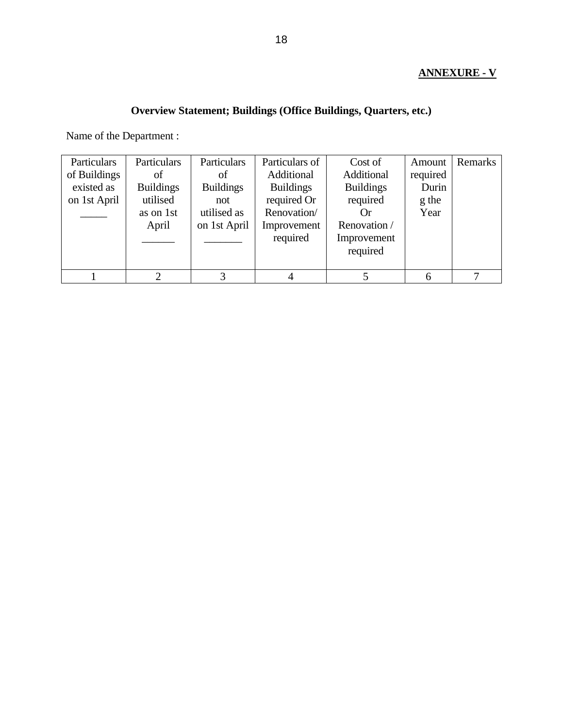# **ANNEXURE - V**

# **Overview Statement; Buildings (Office Buildings, Quarters, etc.)**

Name of the Department :

| Particulars  | Particulars      | Particulars      | Particulars of   | Cost of          | Amount   | Remarks |
|--------------|------------------|------------------|------------------|------------------|----------|---------|
| of Buildings | of               | οf               | Additional       | Additional       | required |         |
| existed as   | <b>Buildings</b> | <b>Buildings</b> | <b>Buildings</b> | <b>Buildings</b> | Durin    |         |
| on 1st April | utilised         | not              | required Or      | required         | g the    |         |
|              | as on 1st        | utilised as      | Renovation/      | ( )r             | Year     |         |
|              | April            | on 1st April     | Improvement      | Renovation /     |          |         |
|              |                  |                  | required         | Improvement      |          |         |
|              |                  |                  |                  | required         |          |         |
|              |                  |                  |                  |                  |          |         |
|              | $\bigcirc$       |                  |                  |                  |          | ⇁       |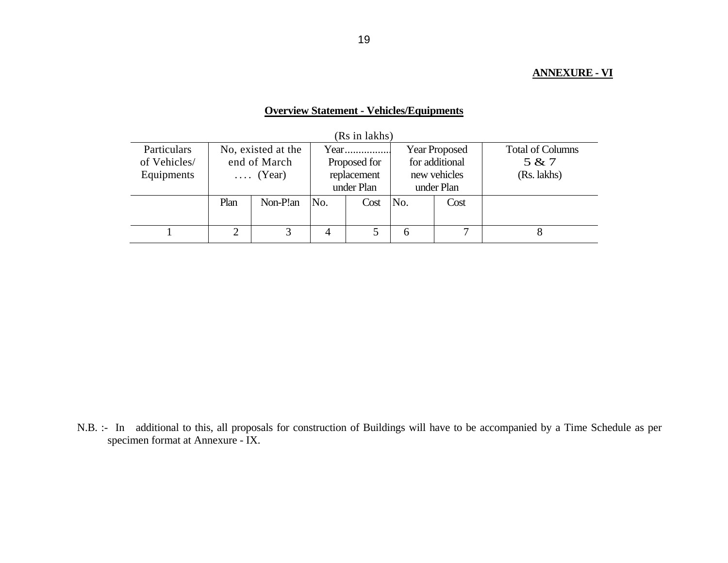## **ANNEXURE - VI**

# **Overview Statement - Vehicles/Equipments**

| (RS in lakns) |                 |                    |              |            |                      |      |                         |  |  |  |  |
|---------------|-----------------|--------------------|--------------|------------|----------------------|------|-------------------------|--|--|--|--|
| Particulars   |                 | No, existed at the |              |            | <b>Year Proposed</b> |      | <b>Total of Columns</b> |  |  |  |  |
| of Vehicles/  | end of March    |                    | Proposed for |            | for additional       |      | 5 & 7                   |  |  |  |  |
| Equipments    | $\ldots$ (Year) |                    | replacement  |            | new vehicles         |      | (Rs. lakhs)             |  |  |  |  |
|               |                 |                    |              | under Plan | under Plan           |      |                         |  |  |  |  |
|               | Plan            | Non-P!an           | No.          | Cost       | No.                  | Cost |                         |  |  |  |  |
|               |                 |                    |              |            |                      |      |                         |  |  |  |  |
|               |                 |                    | 4            |            | h                    |      |                         |  |  |  |  |

 $(D<sub>0</sub>$  in lakhe)

N.B. :- In additional to this, all proposals for construction of Buildings will have to be accompanied by a Time Schedule as per specimen format at Annexure - IX.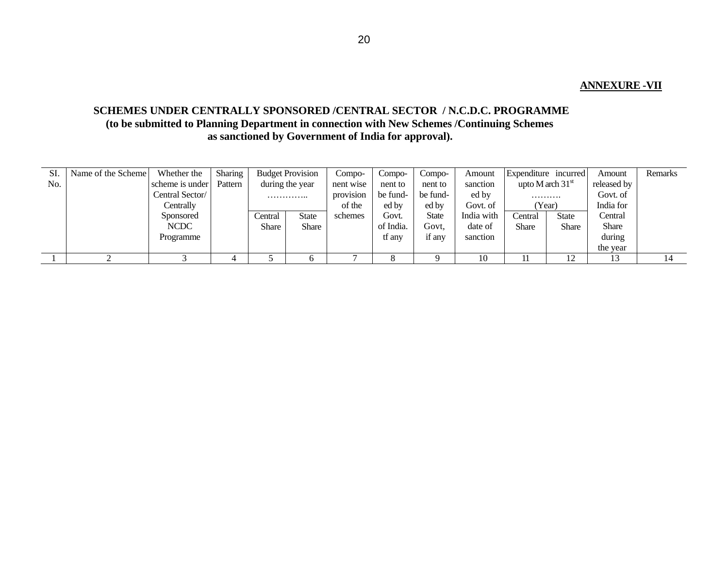### **ANNEXURE -VII**

# **SCHEMES UNDER CENTRALLY SPONSORED /CENTRAL SECTOR / N.C.D.C. PROGRAMME (to be submitted to Planning Department in connection with New Schemes /Continuing Schemes as sanctioned by Government of India for approval).**

| SI. | Name of the Scheme | Whether the     | <b>Sharing</b> |              | <b>Budget Provision</b> | Compo-    | $Compo-$  | Compo-   | Amount     | Expenditure incurred |              | Amount       | Remarks |
|-----|--------------------|-----------------|----------------|--------------|-------------------------|-----------|-----------|----------|------------|----------------------|--------------|--------------|---------|
| No. |                    | scheme is under | Pattern        |              | during the year         | nent wise | nent to   | nent to  | sanction   | upto M arch $31st$   |              | released by  |         |
|     |                    | Central Sector/ |                |              | .                       | provision | be fund-  | be fund- | ed by      | .                    |              | Govt. of     |         |
|     |                    | Centrally       |                |              |                         | of the    | ed by     | ed by    | Govt. of   |                      | (Year)       | India for    |         |
|     |                    | Sponsored       |                | Central      | <b>State</b>            | schemes   | Govt.     | State    | India with | Central              | <b>State</b> | Central      |         |
|     |                    | NCDC            |                | <b>Share</b> | Share                   |           | of India. | Govt.    | date of    | <b>Share</b>         | <b>Share</b> | <b>Share</b> |         |
|     |                    | Programme       |                |              |                         |           | tf any    | if any   | sanction   |                      |              | during       |         |
|     |                    |                 |                |              |                         |           |           |          |            |                      |              | the year     |         |
|     |                    |                 |                |              |                         |           |           |          | 10         |                      | 12<br>⊥∠     |              |         |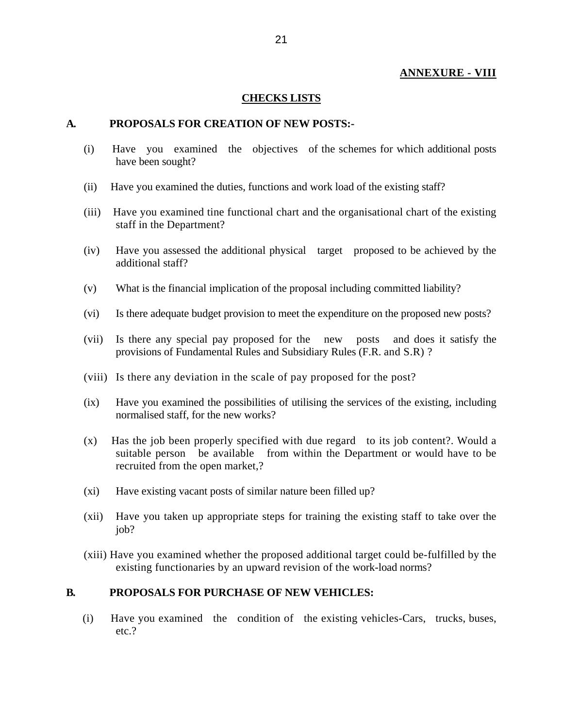### **ANNEXURE - VIII**

#### **CHECKS LISTS**

### **A. PROPOSALS FOR CREATION OF NEW POSTS:-**

- (i) Have you examined the objectives of the schemes for which additional posts have been sought?
- (ii) Have you examined the duties, functions and work load of the existing staff?
- (iii) Have you examined tine functional chart and the organisational chart of the existing staff in the Department?
- (iv) Have you assessed the additional physical target proposed to be achieved by the additional staff?
- (v) What is the financial implication of the proposal including committed liability?
- (vi) Is there adequate budget provision to meet the expenditure on the proposed new posts?
- (vii) Is there any special pay proposed for the new posts and does it satisfy the provisions of Fundamental Rules and Subsidiary Rules (F.R. and S.R) ?
- (viii) Is there any deviation in the scale of pay proposed for the post?
- (ix) Have you examined the possibilities of utilising the services of the existing, including normalised staff, for the new works?
- (x) Has the job been properly specified with due regard to its job content?. Would a suitable person be available from within the Department or would have to be recruited from the open market,?
- (xi) Have existing vacant posts of similar nature been filled up?
- (xii) Have you taken up appropriate steps for training the existing staff to take over the job?
- (xiii) Have you examined whether the proposed additional target could be-fulfilled by the existing functionaries by an upward revision of the work-load norms?

### **B. PROPOSALS FOR PURCHASE OF NEW VEHICLES:**

(i) Have you examined the condition of the existing vehicles-Cars, trucks, buses, etc.?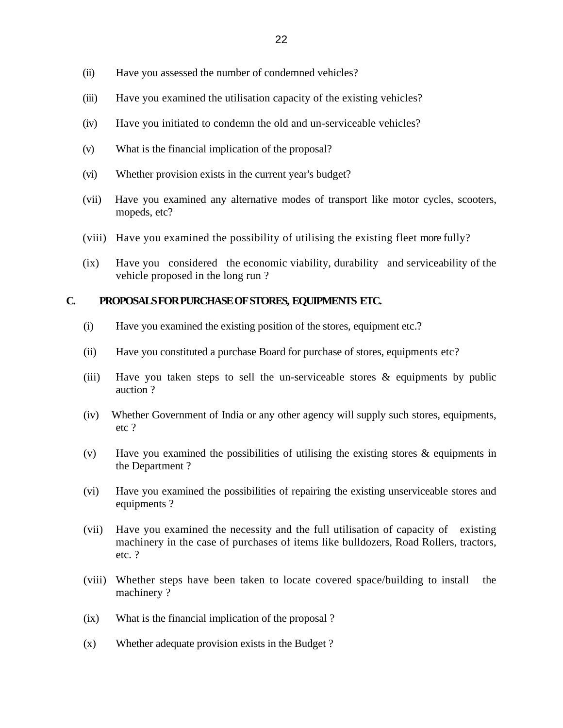- (ii) Have you assessed the number of condemned vehicles?
- (iii) Have you examined the utilisation capacity of the existing vehicles?
- (iv) Have you initiated to condemn the old and un-serviceable vehicles?
- (v) What is the financial implication of the proposal?
- (vi) Whether provision exists in the current year's budget?
- (vii) Have you examined any alternative modes of transport like motor cycles, scooters, mopeds, etc?
- (viii) Have you examined the possibility of utilising the existing fleet more fully?
- (ix) Have you considered the economic viability, durability and serviceability of the vehicle proposed in the long run ?

## **C. PROPOSALS FOR PURCHASE OF STORES, EQUIPMENTS ETC.**

- (i) Have you examined the existing position of the stores, equipment etc.?
- (ii) Have you constituted a purchase Board for purchase of stores, equipments etc?
- (iii) Have you taken steps to sell the un-serviceable stores & equipments by public auction ?
- (iv) Whether Government of India or any other agency will supply such stores, equipments, etc ?
- (v) Have you examined the possibilities of utilising the existing stores & equipments in the Department ?
- (vi) Have you examined the possibilities of repairing the existing unserviceable stores and equipments ?
- (vii) Have you examined the necessity and the full utilisation of capacity of existing machinery in the case of purchases of items like bulldozers, Road Rollers, tractors, etc. ?
- (viii) Whether steps have been taken to locate covered space/building to install the machinery ?
- (ix) What is the financial implication of the proposal ?
- (x) Whether adequate provision exists in the Budget ?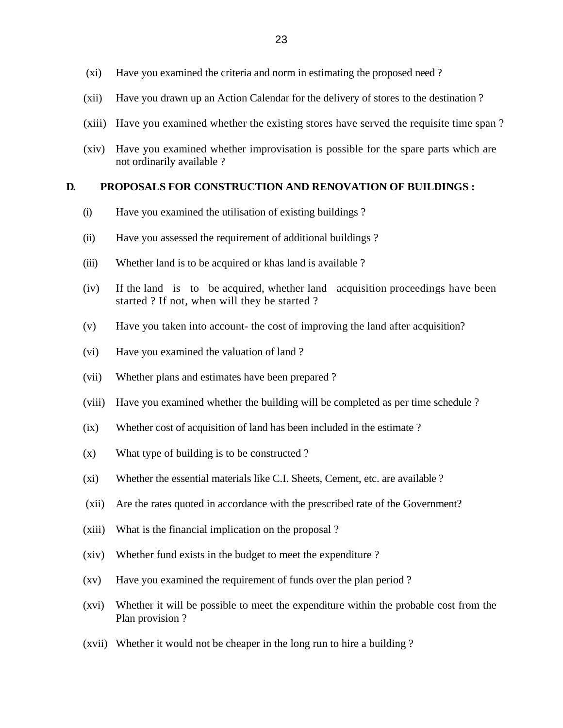- (xi) Have you examined the criteria and norm in estimating the proposed need ?
- (xii) Have you drawn up an Action Calendar for the delivery of stores to the destination ?
- (xiii) Have you examined whether the existing stores have served the requisite time span ?
- (xiv) Have you examined whether improvisation is possible for the spare parts which are not ordinarily available ?

#### **D. PROPOSALS FOR CONSTRUCTION AND RENOVATION OF BUILDINGS :**

- (i) Have you examined the utilisation of existing buildings ?
- (ii) Have you assessed the requirement of additional buildings ?
- (iii) Whether land is to be acquired or khas land is available ?
- (iv) If the land is to be acquired, whether land acquisition proceedings have been started ? If not, when will they be started ?
- (v) Have you taken into account- the cost of improving the land after acquisition?
- (vi) Have you examined the valuation of land ?
- (vii) Whether plans and estimates have been prepared ?
- (viii) Have you examined whether the building will be completed as per time schedule ?
- (ix) Whether cost of acquisition of land has been included in the estimate ?
- (x) What type of building is to be constructed ?
- (xi) Whether the essential materials like C.I. Sheets, Cement, etc. are available ?
- (xii) Are the rates quoted in accordance with the prescribed rate of the Government?
- (xiii) What is the financial implication on the proposal ?
- (xiv) Whether fund exists in the budget to meet the expenditure ?
- (xv) Have you examined the requirement of funds over the plan period ?
- (xvi) Whether it will be possible to meet the expenditure within the probable cost from the Plan provision ?
- (xvii) Whether it would not be cheaper in the long run to hire a building ?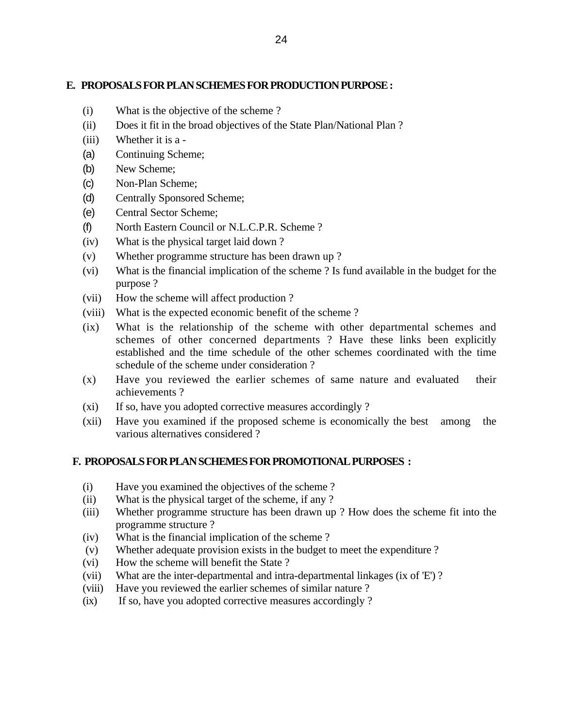## **E. PROPOSALS FOR PLAN SCHEMES FOR PRODUCTION PURPOSE:**

- (i) What is the objective of the scheme ?
- (ii) Does it fit in the broad objectives of the State Plan/National Plan ?
- (iii) Whether it is a -
- (a) Continuing Scheme;
- (b) New Scheme;
- (c) Non-Plan Scheme;
- (d) Centrally Sponsored Scheme;
- (e) Central Sector Scheme;
- (f) North Eastern Council or N.L.C.P.R. Scheme ?
- (iv) What is the physical target laid down ?
- (v) Whether programme structure has been drawn up ?
- (vi) What is the financial implication of the scheme ? Is fund available in the budget for the purpose ?
- (vii) How the scheme will affect production ?
- (viii) What is the expected economic benefit of the scheme ?
- (ix) What is the relationship of the scheme with other departmental schemes and schemes of other concerned departments ? Have these links been explicitly established and the time schedule of the other schemes coordinated with the time schedule of the scheme under consideration ?
- (x) Have you reviewed the earlier schemes of same nature and evaluated their achievements ?
- (xi) If so, have you adopted corrective measures accordingly ?
- (xii) Have you examined if the proposed scheme is economically the best among the various alternatives considered ?

# **F. PROPOSALS FOR PLAN SCHEMES FOR PROMOTIONAL PURPOSES :**

- (i) Have you examined the objectives of the scheme ?
- (ii) What is the physical target of the scheme, if any ?
- (iii) Whether programme structure has been drawn up ? How does the scheme fit into the programme structure ?
- (iv) What is the financial implication of the scheme ?
- (v) Whether adequate provision exists in the budget to meet the expenditure ?
- (vi) How the scheme will benefit the State ?
- (vii) What are the inter-departmental and intra-departmental linkages (ix of 'E') ?
- (viii) Have you reviewed the earlier schemes of similar nature ?
- (ix) If so, have you adopted corrective measures accordingly ?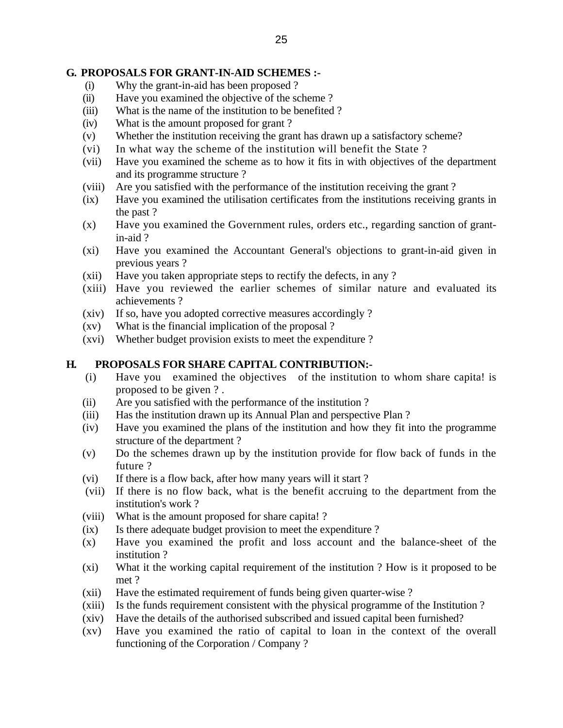### **G. PROPOSALS FOR GRANT-IN-AID SCHEMES :-**

- (i) Why the grant-in-aid has been proposed ?
- (ii) Have you examined the objective of the scheme ?
- (iii) What is the name of the institution to be benefited ?
- (iv) What is the amount proposed for grant ?
- (v) Whether the institution receiving the grant has drawn up a satisfactory scheme?
- (vi) In what way the scheme of the institution will benefit the State ?
- (vii) Have you examined the scheme as to how it fits in with objectives of the department and its programme structure ?
- (viii) Are you satisfied with the performance of the institution receiving the grant ?
- (ix) Have you examined the utilisation certificates from the institutions receiving grants in the past ?
- (x) Have you examined the Government rules, orders etc., regarding sanction of grantin-aid ?
- (xi) Have you examined the Accountant General's objections to grant-in-aid given in previous years ?
- (xii) Have you taken appropriate steps to rectify the defects, in any ?
- (xiii) Have you reviewed the earlier schemes of similar nature and evaluated its achievements ?
- (xiv) If so, have you adopted corrective measures accordingly ?
- (xv) What is the financial implication of the proposal ?
- (xvi) Whether budget provision exists to meet the expenditure ?

### **H. PROPOSALS FOR SHARE CAPITAL CONTRIBUTION:-**

- (i) Have you examined the objectives of the institution to whom share capita! is proposed to be given ? .
- (ii) Are you satisfied with the performance of the institution ?
- (iii) Has the institution drawn up its Annual Plan and perspective Plan ?
- (iv) Have you examined the plans of the institution and how they fit into the programme structure of the department ?
- (v) Do the schemes drawn up by the institution provide for flow back of funds in the future ?
- (vi) If there is a flow back, after how many years will it start ?
- (vii) If there is no flow back, what is the benefit accruing to the department from the institution's work ?
- (viii) What is the amount proposed for share capita! ?
- (ix) Is there adequate budget provision to meet the expenditure ?
- (x) Have you examined the profit and loss account and the balance-sheet of the institution ?
- (xi) What it the working capital requirement of the institution ? How is it proposed to be met ?
- (xii) Have the estimated requirement of funds being given quarter-wise ?
- (xiii) Is the funds requirement consistent with the physical programme of the Institution ?
- (xiv) Have the details of the authorised subscribed and issued capital been furnished?
- (xv) Have you examined the ratio of capital to loan in the context of the overall functioning of the Corporation / Company ?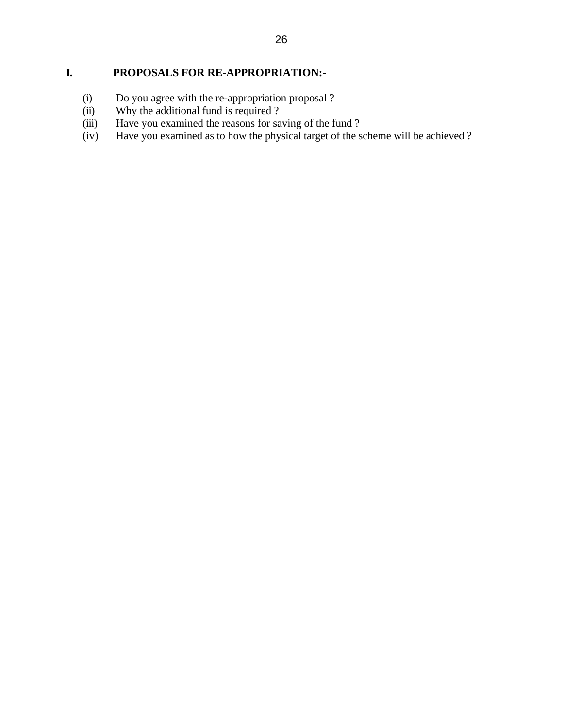# **I. PROPOSALS FOR RE-APPROPRIATION:-**

- (i) Do you agree with the re-appropriation proposal ?<br>
(ii) Why the additional fund is required ?
- (ii) Why the additional fund is required ?<br>(iii) Have you examined the reasons for sa
- (iii) Have you examined the reasons for saving of the fund ?<br>(iv) Have you examined as to how the physical target of the s
- Have you examined as to how the physical target of the scheme will be achieved ?